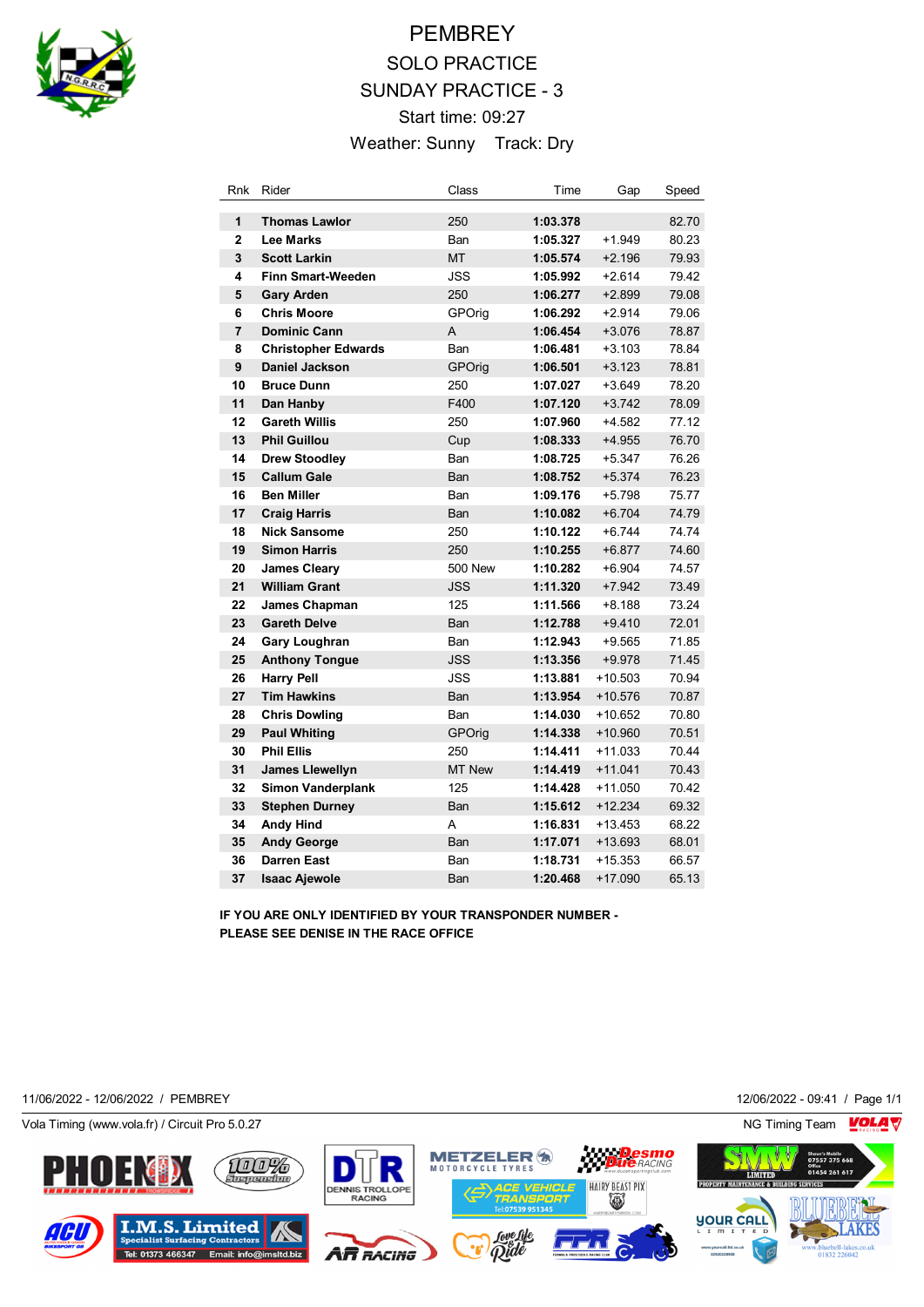

# **PEMBREY** SOLO PRACTICE SUNDAY PRACTICE - 3 Start time: 09:27 Weather: Sunny Track: Dry

| Rnk            | Rider                      | Class          | Time     | Gap       | Speed |
|----------------|----------------------------|----------------|----------|-----------|-------|
| 1              | <b>Thomas Lawlor</b>       | 250            | 1:03.378 |           | 82.70 |
| $\overline{2}$ | <b>Lee Marks</b>           | Ban            | 1:05.327 | $+1.949$  | 80.23 |
| 3              | <b>Scott Larkin</b>        | <b>MT</b>      | 1:05.574 | $+2.196$  | 79.93 |
| 4              | <b>Finn Smart-Weeden</b>   | JSS            | 1:05.992 | $+2.614$  | 79.42 |
| 5              | <b>Gary Arden</b>          | 250            | 1:06.277 | $+2.899$  | 79.08 |
| 6              | <b>Chris Moore</b>         | GPOrig         | 1:06.292 | $+2.914$  | 79.06 |
| $\overline{7}$ | <b>Dominic Cann</b>        | Α              | 1:06.454 | $+3.076$  | 78.87 |
| 8              | <b>Christopher Edwards</b> | Ban            | 1:06.481 | $+3.103$  | 78.84 |
| 9              | Daniel Jackson             | GPOrig         | 1:06.501 | $+3.123$  | 78.81 |
| 10             | <b>Bruce Dunn</b>          | 250            | 1:07.027 | $+3.649$  | 78.20 |
| 11             | Dan Hanby                  | F400           | 1:07.120 | $+3.742$  | 78.09 |
| 12             | <b>Gareth Willis</b>       | 250            | 1:07.960 | $+4.582$  | 77.12 |
| 13             | <b>Phil Guillou</b>        | Cup            | 1:08.333 | $+4.955$  | 76.70 |
| 14             | <b>Drew Stoodley</b>       | Ban            | 1:08.725 | $+5.347$  | 76.26 |
| 15             | <b>Callum Gale</b>         | Ban            | 1:08.752 | $+5.374$  | 76.23 |
| 16             | <b>Ben Miller</b>          | Ban            | 1:09.176 | $+5.798$  | 75.77 |
| 17             | <b>Craig Harris</b>        | Ban            | 1:10.082 | $+6.704$  | 74.79 |
| 18             | <b>Nick Sansome</b>        | 250            | 1:10.122 | $+6.744$  | 74.74 |
| 19             | <b>Simon Harris</b>        | 250            | 1:10.255 | $+6.877$  | 74.60 |
| 20             | <b>James Cleary</b>        | <b>500 New</b> | 1:10.282 | $+6.904$  | 74.57 |
| 21             | <b>William Grant</b>       | <b>JSS</b>     | 1:11.320 | $+7.942$  | 73.49 |
| 22             | James Chapman              | 125            | 1:11.566 | $+8.188$  | 73.24 |
| 23             | <b>Gareth Delve</b>        | Ban            | 1:12.788 | $+9.410$  | 72.01 |
| 24             | <b>Gary Loughran</b>       | Ban            | 1:12.943 | $+9.565$  | 71.85 |
| 25             | <b>Anthony Tongue</b>      | <b>JSS</b>     | 1:13.356 | $+9.978$  | 71.45 |
| 26             | <b>Harry Pell</b>          | <b>JSS</b>     | 1:13.881 | $+10.503$ | 70.94 |
| 27             | <b>Tim Hawkins</b>         | Ban            | 1:13.954 | $+10.576$ | 70.87 |
| 28             | <b>Chris Dowling</b>       | Ban            | 1:14.030 | $+10.652$ | 70.80 |
| 29             | <b>Paul Whiting</b>        | GPOrig         | 1:14.338 | $+10.960$ | 70.51 |
| 30             | <b>Phil Ellis</b>          | 250            | 1:14.411 | $+11.033$ | 70.44 |
| 31             | <b>James Llewellyn</b>     | MT New         | 1:14.419 | $+11.041$ | 70.43 |
| 32             | <b>Simon Vanderplank</b>   | 125            | 1:14.428 | $+11.050$ | 70.42 |
| 33             | <b>Stephen Durney</b>      | Ban            | 1:15.612 | $+12.234$ | 69.32 |
| 34             | <b>Andy Hind</b>           | A              | 1:16.831 | $+13.453$ | 68.22 |
| 35             | <b>Andy George</b>         | Ban            | 1:17.071 | $+13.693$ | 68.01 |
| 36             | <b>Darren East</b>         | Ban            | 1:18.731 | $+15.353$ | 66.57 |
| 37             | <b>Isaac Ajewole</b>       | Ban            | 1:20.468 | $+17.090$ | 65.13 |

**IF YOU ARE ONLY IDENTIFIED BY YOUR TRANSPONDER NUMBER - PLEASE SEE DENISE IN THE RACE OFFICE**

11/06/2022 - 12/06/2022 / PEMBREY 12/06/2022 - 09:41 / Page 1/1

Vola Timing (www.vola.fr) / Circuit Pro 5.0.27 NG Timing Team NG Timing Team NG Timing Team NG Timing Team NG

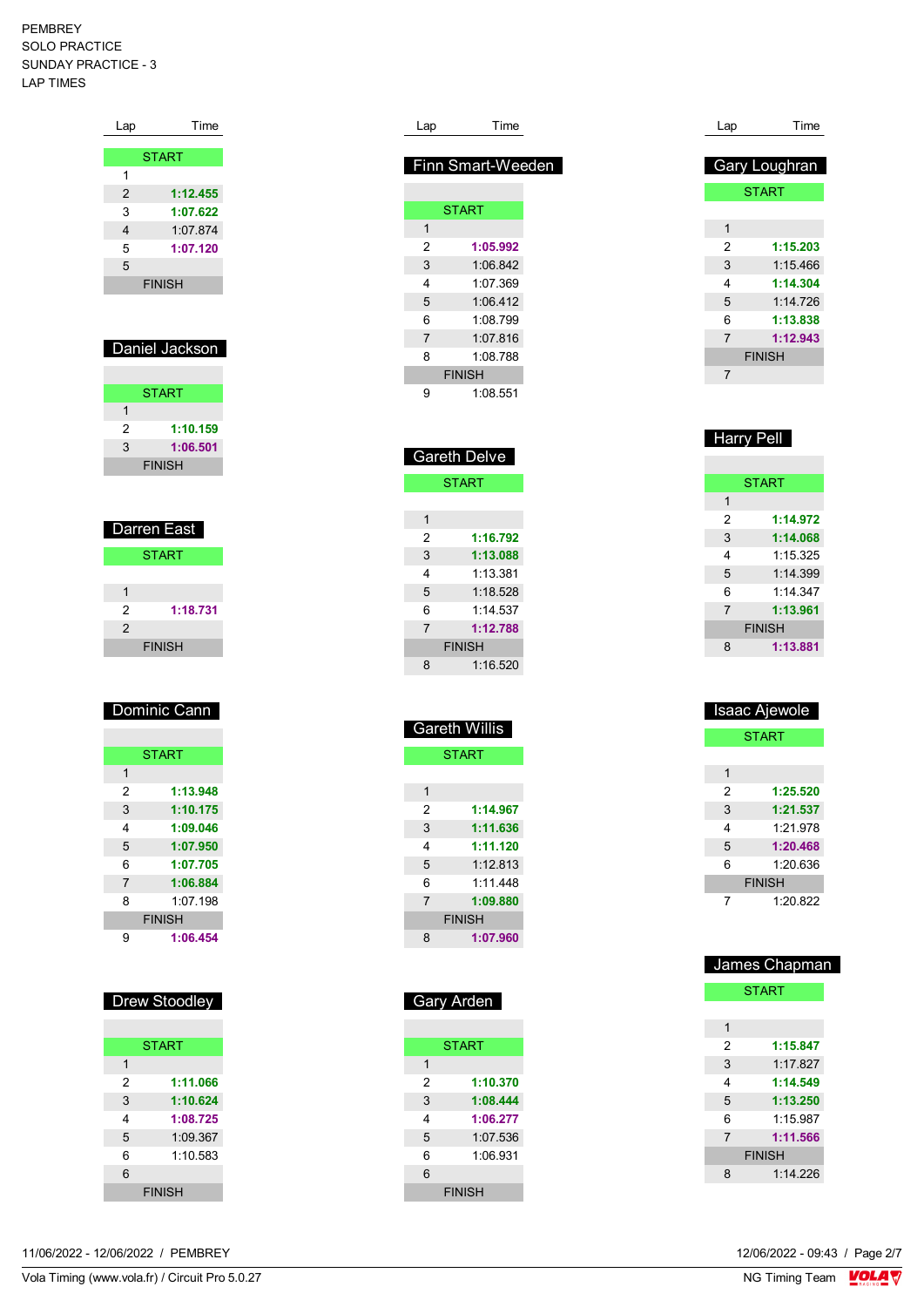| Lap            | Time          |
|----------------|---------------|
|                |               |
|                | <b>START</b>  |
| 1              |               |
| $\overline{2}$ | 1:12.455      |
| 3              | 1:07.622      |
| 4              | 1:07.874      |
| 5              | 1:07.120      |
| 5              |               |
|                | <b>FINISH</b> |
|                |               |

# Daniel Jackson

|   | <b>START</b>  |
|---|---------------|
| 1 |               |
| 2 | 1:10.159      |
| 3 | 1:06.501      |
|   | <b>FINISH</b> |

| Darren East  |               |  |
|--------------|---------------|--|
| <b>START</b> |               |  |
|              |               |  |
|              |               |  |
| 2            | 1:18.731      |  |
| 2            |               |  |
|              | <b>FINISH</b> |  |

# Dominic Cann

|                | <b>START</b>  |
|----------------|---------------|
| 1              |               |
| 2              | 1:13.948      |
| 3              | 1:10.175      |
| 4              | 1:09.046      |
| 5              | 1:07.950      |
| 6              | 1:07.705      |
| $\overline{7}$ | 1:06.884      |
| 8              | $1.07$ 198    |
|                | <b>FINISH</b> |
|                | 1:06.454      |

# Drew Stoodley

|               | <b>START</b> |  |
|---------------|--------------|--|
| 1             |              |  |
| 2             | 1:11.066     |  |
| 3             | 1:10.624     |  |
| 4             | 1:08.725     |  |
| 5             | 1:09.367     |  |
| 6             | 1:10.583     |  |
| 6             |              |  |
| <b>FINISH</b> |              |  |

| 11/06/2022 -<br>12/06/2022 /<br>12/06/2022 - 09:43 / Page 2/7<br>PEMBREY |  |
|--------------------------------------------------------------------------|--|
|--------------------------------------------------------------------------|--|

| Lap            | Time              |
|----------------|-------------------|
|                |                   |
|                | Finn Smart-Weeden |
|                |                   |
|                | <b>START</b>      |
| 1              |                   |
| 2              | 1:05.992          |
| 3              | 1:06.842          |
| 4              | 1:07.369          |
| 5              | 1:06.412          |
| 6              | 1.08799           |
| $\overline{7}$ | 1:07.816          |
| 8              | 1:08.788          |
|                | <b>FINISH</b>     |
| 9              | 1:08.551          |

| <b>Gareth Delve</b> |               |  |  |
|---------------------|---------------|--|--|
| <b>START</b>        |               |  |  |
|                     |               |  |  |
| 1                   |               |  |  |
| 2                   | 1:16.792      |  |  |
| 3                   | 1:13.088      |  |  |
| 4                   | 1:13.381      |  |  |
| 5                   | 1:18.528      |  |  |
| 6                   | 1.14537       |  |  |
| $\overline{7}$      | 1:12.788      |  |  |
|                     | <b>FINISH</b> |  |  |
| 8                   | 1:16.520      |  |  |

| <b>Gareth Willis</b> |               |  |  |  |
|----------------------|---------------|--|--|--|
|                      | <b>START</b>  |  |  |  |
|                      |               |  |  |  |
| 1                    |               |  |  |  |
| 2                    | 1:14.967      |  |  |  |
| 3                    | 1:11.636      |  |  |  |
| 4                    | 1:11.120      |  |  |  |
| 5                    | 1.12813       |  |  |  |
| 6                    | 1.11448       |  |  |  |
| $\overline{7}$       | 1:09.880      |  |  |  |
|                      | <b>FINISH</b> |  |  |  |
| 8                    | 1:07.960      |  |  |  |

| Gary Arden |               |  |
|------------|---------------|--|
|            |               |  |
|            | <b>START</b>  |  |
| 1          |               |  |
| 2          | 1:10.370      |  |
| 3          | 1:08.444      |  |
| 4          | 1:06.277      |  |
| 5          | 1:07.536      |  |
| 6          | 1:06.931      |  |
| 6          |               |  |
|            | <b>FINISH</b> |  |

| Lap | Time                 |
|-----|----------------------|
|     |                      |
|     | <b>Gary Loughran</b> |
|     | <b>START</b>         |
|     |                      |
| 1   |                      |
| 2   | 1:15.203             |
| 3   | 1:15.466             |
| 4   | 1:14.304             |
| 5   | 1:14.726             |
| 6   | 1:13.838             |
| 7   | 1:12.943             |
|     | <b>FINISH</b>        |
| 7   |                      |

| <b>Harry Pell</b> |               |
|-------------------|---------------|
|                   |               |
|                   | <b>START</b>  |
| 1                 |               |
| 2                 | 1:14.972      |
| 3                 | 1:14.068      |
| 4                 | 1.15.325      |
| 5                 | 1.14.399      |
| 6                 | 1.14.347      |
| 7                 | 1:13.961      |
|                   | <b>FINISH</b> |
| 8                 | 1:13.881      |

|               | Isaac Ajewole |  |
|---------------|---------------|--|
|               | <b>START</b>  |  |
|               |               |  |
| 1             |               |  |
| 2             | 1:25.520      |  |
| 3             | 1:21.537      |  |
| 4             | 1.21978       |  |
| 5             | 1:20.468      |  |
| 6             | 1:20 636      |  |
| <b>FINISH</b> |               |  |
|               | 1:20.822      |  |

| James Chapman  |              |  |  |
|----------------|--------------|--|--|
|                | <b>START</b> |  |  |
|                |              |  |  |
| 1              |              |  |  |
| 2              | 1:15.847     |  |  |
| 3              | 1.17827      |  |  |
| 4              | 1:14.549     |  |  |
| 5              | 1:13.250     |  |  |
| 6              | 1.15987      |  |  |
| $\overline{7}$ | 1:11.566     |  |  |
| <b>FINISH</b>  |              |  |  |
| 8              | 1.14226      |  |  |
|                |              |  |  |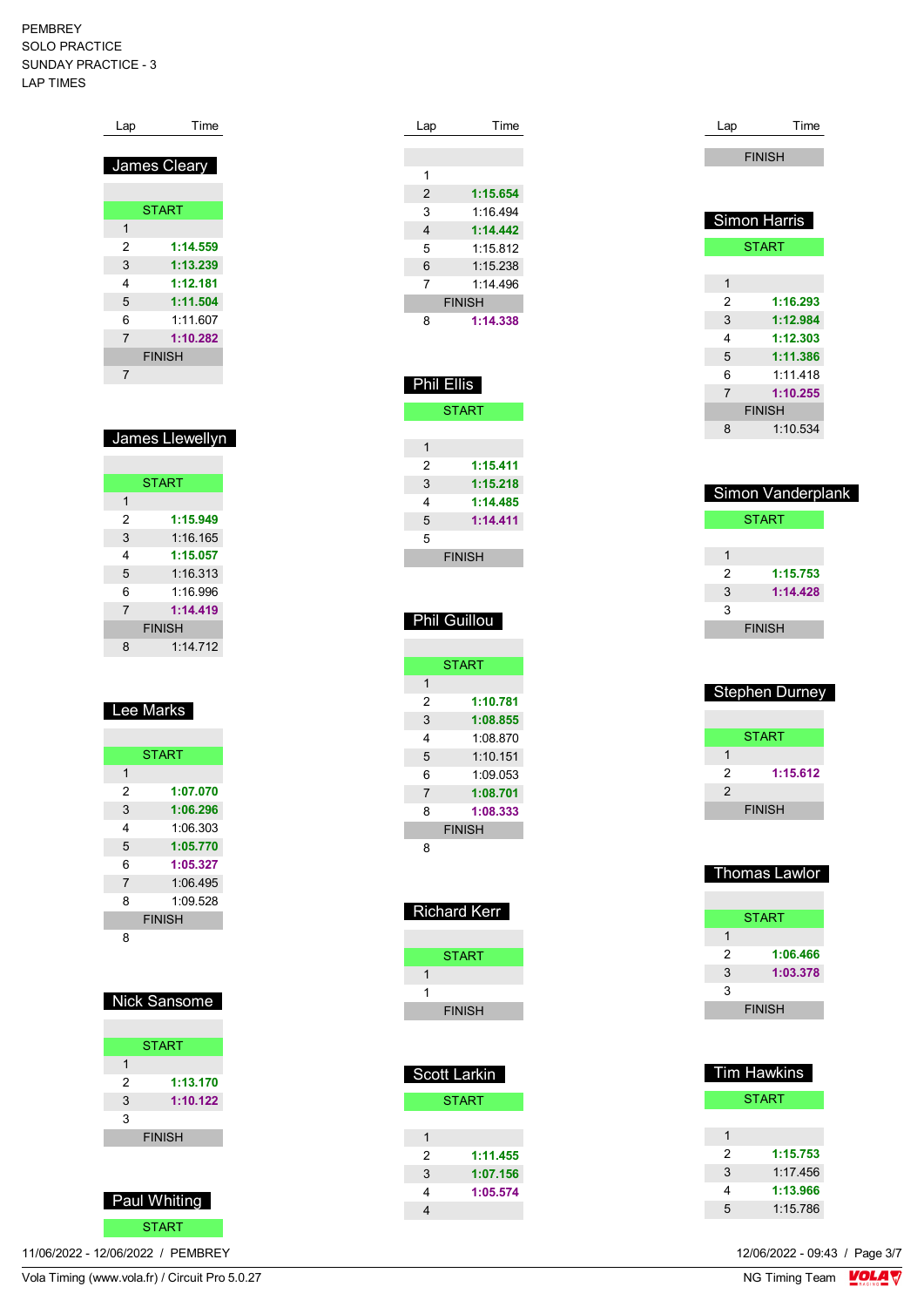| Lap            | Time         |
|----------------|--------------|
|                | James Cleary |
|                | <b>START</b> |
| 1              |              |
| 2              | 1:14.559     |
| 3              | 1:13.239     |
| 4              | 1:12.181     |
| 5              | 1:11.504     |
| 6              | 1.11607      |
| $\overline{7}$ | 1:10.282     |
| <b>FINISH</b>  |              |
| 7              |              |

| ⊟James Llewell∨n |
|------------------|
|                  |

| <b>START</b>   |          |  |
|----------------|----------|--|
| 1              |          |  |
| 2              | 1:15.949 |  |
| 3              | 1:16.165 |  |
| 4              | 1:15.057 |  |
| 5              | 1:16.313 |  |
| 6              | 1.16996  |  |
| $\overline{7}$ | 1:14.419 |  |
| <b>FINISH</b>  |          |  |
| 8              | 1.14712  |  |

# Lee Marks

|                | <b>START</b>  |
|----------------|---------------|
| 1              |               |
| 2              | 1:07.070      |
| 3              | 1:06.296      |
| 4              | 1.06.303      |
| 5              | 1:05.770      |
| 6              | 1:05.327      |
| $\overline{7}$ | 1:06.495      |
| 8              | 1:09.528      |
|                | <b>FINISH</b> |
| 8              |               |

### Nick Sansome

|               | <b>START</b> |  |
|---------------|--------------|--|
| 1             |              |  |
| $\mathcal{P}$ | 1:13.170     |  |
| 3             | 1:10.122     |  |
| 3             |              |  |
| <b>FINISH</b> |              |  |
|               |              |  |



11/06/2022 - 12/06/2022 / PEMBREY

| Lap            | Time     |
|----------------|----------|
|                |          |
|                |          |
| 1              |          |
| $\overline{2}$ | 1:15.654 |
| 3              | 1:16.494 |
| 4              | 1:14.442 |
| 5              | 1:15.812 |
| 6              | 1:15.238 |
| 7              | 1.14496  |
| <b>FINISH</b>  |          |
| 8              | 1:14.338 |
|                |          |

| <b>Phil Ellis</b> |          |  |
|-------------------|----------|--|
| <b>START</b>      |          |  |
|                   |          |  |
| 1                 |          |  |
| 2                 | 1:15.411 |  |
| 3                 | 1:15.218 |  |
| 4                 | 1:14.485 |  |
| 5                 | 1:14.411 |  |
| 5                 |          |  |
| <b>FINISH</b>     |          |  |

### **Phil Guillou**

|                | <b>START</b> |
|----------------|--------------|
| 1              |              |
| 2              | 1:10.781     |
| 3              | 1:08.855     |
| 4              | 1:08 870     |
| 5              | 1:10.151     |
| 6              | 1:09.053     |
| $\overline{7}$ | 1:08.701     |
| 8              | 1:08.333     |
| <b>FINISH</b>  |              |
| я              |              |

| ∣ Richard Kerr |  |
|----------------|--|
|                |  |
| START          |  |
|                |  |
| 1              |  |
| <b>FINISH</b>  |  |

| <b>Scott Larkin</b> |              |
|---------------------|--------------|
|                     | <b>START</b> |
|                     |              |
| 1                   |              |
| $\mathcal{P}$       | 1:11.455     |
| 3                   | 1:07.156     |
| 4                   | 1:05.574     |
|                     |              |
|                     |              |

| Lap            | Time          |
|----------------|---------------|
|                |               |
|                | <b>FINISH</b> |
|                |               |
|                |               |
|                | Simon Harris  |
|                | <b>START</b>  |
|                |               |
| 1              |               |
| 2              | 1:16.293      |
| 3              | 1:12.984      |
| 4              | 1:12.303      |
| 5              | 1:11.386      |
| 6              | 1:11.418      |
| $\overline{7}$ | 1:10.255      |
|                | <b>FINISH</b> |
| 8              | 1:10.534      |
|                |               |

|   | <b>Simon Vanderplank</b> |
|---|--------------------------|
|   | <b>START</b>             |
|   |                          |
| 1 |                          |
| 2 | 1:15.753                 |
| 3 | 1:14.428                 |
| 3 |                          |
|   | <b>FINISH</b>            |
|   |                          |

| <b>Stephen Durney</b> |
|-----------------------|
| START                 |
| 1                     |
| 2<br>1:15.612         |
| 2                     |
| <b>FINISH</b>         |

|   | <b>Thomas Lawlor</b> |
|---|----------------------|
|   |                      |
|   | START                |
| 1 |                      |
| 2 | 1:06.466             |
| 3 | 1:03.378             |
| 3 |                      |
|   | <b>FINISH</b>        |

|   | Tim Hawkins  |
|---|--------------|
|   | <b>START</b> |
|   |              |
| 1 |              |
| 2 | 1:15.753     |
| 3 | 1:17.456     |
| 4 | 1:13.966     |
| 5 | 1:15.786     |
|   |              |

12/06/2022 - 09:43 / Page 3/7<br>NG Timing Team  $\sqrt{\text{OLA}}$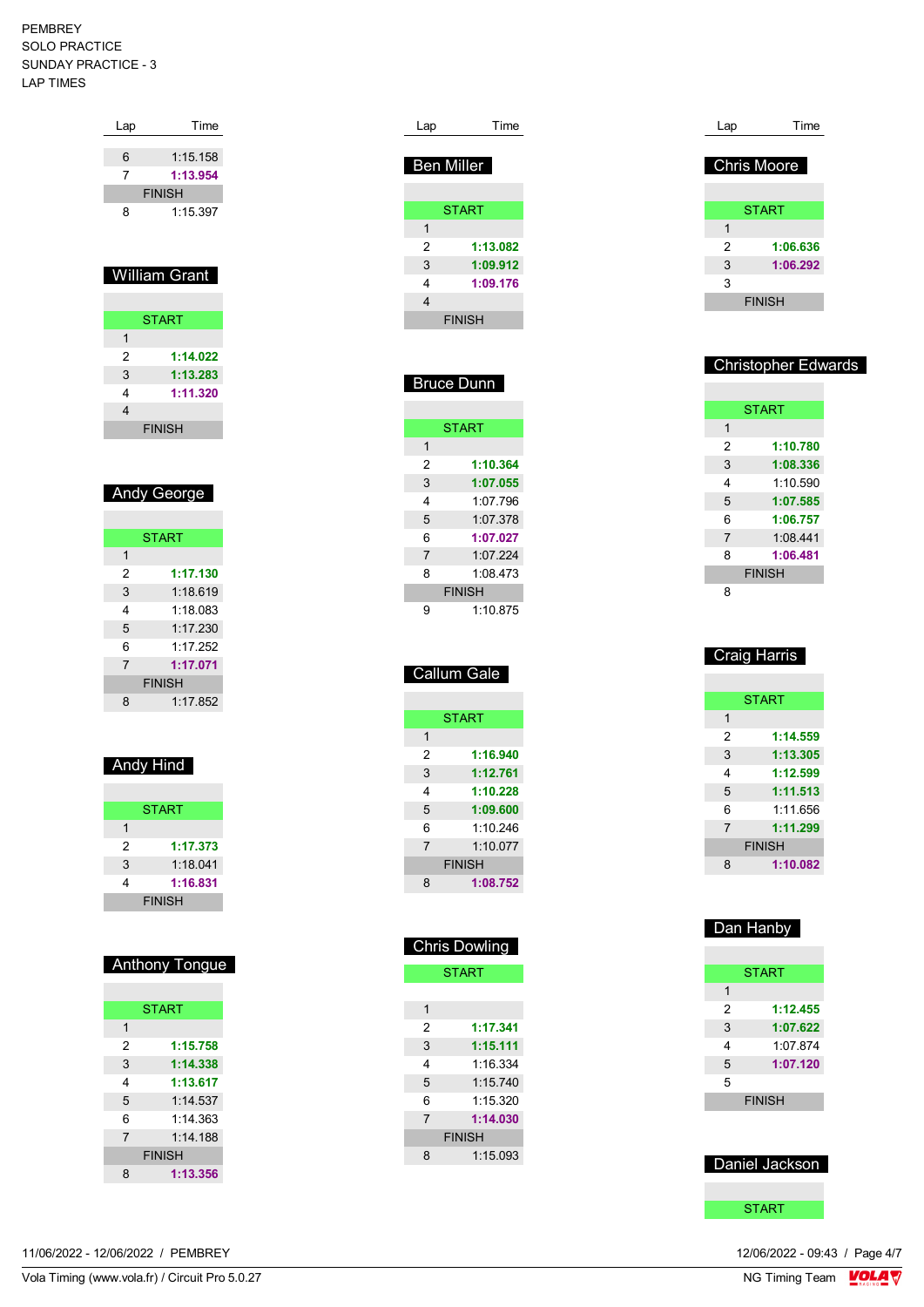| 6 | 1:15.158             |
|---|----------------------|
| 7 | 1:13.954             |
|   | <b>FINISH</b>        |
| 8 | 1:15.397             |
|   |                      |
|   |                      |
|   | <b>William Grant</b> |
|   |                      |
|   |                      |
|   |                      |
|   | <b>START</b>         |
| 1 |                      |
| 2 | 1:14.022             |
| 3 | 1:13.283             |
| 4 | 1:11.320             |
| 4 |                      |

Lap Time

### Andy George

| <b>START</b>   |               |
|----------------|---------------|
| 1              |               |
| 2              | 1:17.130      |
| 3              | 1:18.619      |
| 4              | 1:18.083      |
| 5              | 1.17230       |
| 6              | 1:17.252      |
| $\overline{7}$ | 1:17.071      |
|                | <b>FINISH</b> |
| 8              | 1:17.852      |

### Andy Hind

|   | <b>START</b>  |
|---|---------------|
| 1 |               |
| 2 | 1:17.373      |
| 3 | 1:18.041      |
| 4 | 1:16.831      |
|   | <b>FINISH</b> |

### Anthony Tongue

|                | <b>START</b>  |
|----------------|---------------|
| 1              |               |
| 2              | 1:15.758      |
| 3              | 1:14.338      |
| 4              | 1:13.617      |
| 5              | 1.14537       |
| 6              | 1.14.363      |
| $\overline{7}$ | 1:14.188      |
|                | <b>FINISH</b> |
| 8              | 1:13.356      |

| 11/06/2022 - 12/06/2022 / PEMBREY |  |  |
|-----------------------------------|--|--|
|-----------------------------------|--|--|

| Lap               | Time          |
|-------------------|---------------|
| <b>Ben Miller</b> |               |
|                   |               |
|                   | <b>START</b>  |
| 1                 |               |
| 2                 | 1:13.082      |
| 3                 | 1:09.912      |
| 4                 | 1:09.176      |
| 4                 |               |
|                   | <b>FINISH</b> |
|                   |               |

| <b>Bruce Dunn</b> |               |
|-------------------|---------------|
|                   |               |
|                   | <b>START</b>  |
| 1                 |               |
| 2                 | 1:10.364      |
| 3                 | 1:07.055      |
| 4                 | 1:07 796      |
| 5                 | 1:07.378      |
| 6                 | 1:07.027      |
| 7                 | 1:07.224      |
| 8                 | 1:08 473      |
|                   | <b>FINISH</b> |
| g                 | 1:10.875      |

|                | Callum Gale   |
|----------------|---------------|
|                |               |
|                | <b>START</b>  |
| 1              |               |
| 2              | 1:16.940      |
| 3              | 1:12.761      |
| 4              | 1:10.228      |
| 5              | 1:09.600      |
| 6              | 1.10246       |
| $\overline{7}$ | 1.10077       |
|                | <b>FINISH</b> |
| 8              | 1:08.752      |

| <b>Chris Dowling</b> |               |
|----------------------|---------------|
| <b>START</b>         |               |
|                      |               |
| 1                    |               |
| $\mathcal{P}$        | 1:17.341      |
| 3                    | 1:15.111      |
| 4                    | 1.16.334      |
| 5                    | 1:15.740      |
| 6                    | 1.15320       |
| $\overline{7}$       | 1:14.030      |
|                      | <b>FINISH</b> |
| 8                    | 1:15.093      |

| Lap                | Time          |
|--------------------|---------------|
|                    |               |
| <b>Chris Moore</b> |               |
|                    |               |
|                    | <b>START</b>  |
| 1                  |               |
| 2                  | 1:06.636      |
| 3                  | 1:06.292      |
| 3                  |               |
|                    | <b>FINISH</b> |
|                    |               |

#### Christopher Edwards

| <b>START</b>               |  |
|----------------------------|--|
| 1                          |  |
| 2<br>1:10.780              |  |
| 3<br>1:08.336              |  |
| 1.10590<br>4               |  |
| 5<br>1:07.585              |  |
| 6<br>1:06.757              |  |
| 1:08.441<br>$\overline{7}$ |  |
| 1:06.481<br>8              |  |
| <b>FINISH</b>              |  |
| ឧ                          |  |

| <u> Craig Harris</u> |               |
|----------------------|---------------|
|                      |               |
|                      | <b>START</b>  |
| 1                    |               |
| 2                    | 1:14.559      |
| 3                    | 1:13.305      |
| 4                    | 1:12.599      |
| 5                    | 1:11.513      |
| 6                    | 1:11.656      |
| $\overline{7}$       | 1:11.299      |
|                      | <b>FINISH</b> |
| 8                    | 1:10.082      |

### Dan Hanby

|   | <b>START</b>  |
|---|---------------|
| 1 |               |
| 2 | 1:12.455      |
| 3 | 1:07.622      |
| 4 | 1:07.874      |
| 5 | 1:07.120      |
| 5 |               |
|   | <b>FINISH</b> |
|   |               |

### Daniel Jackson

**START**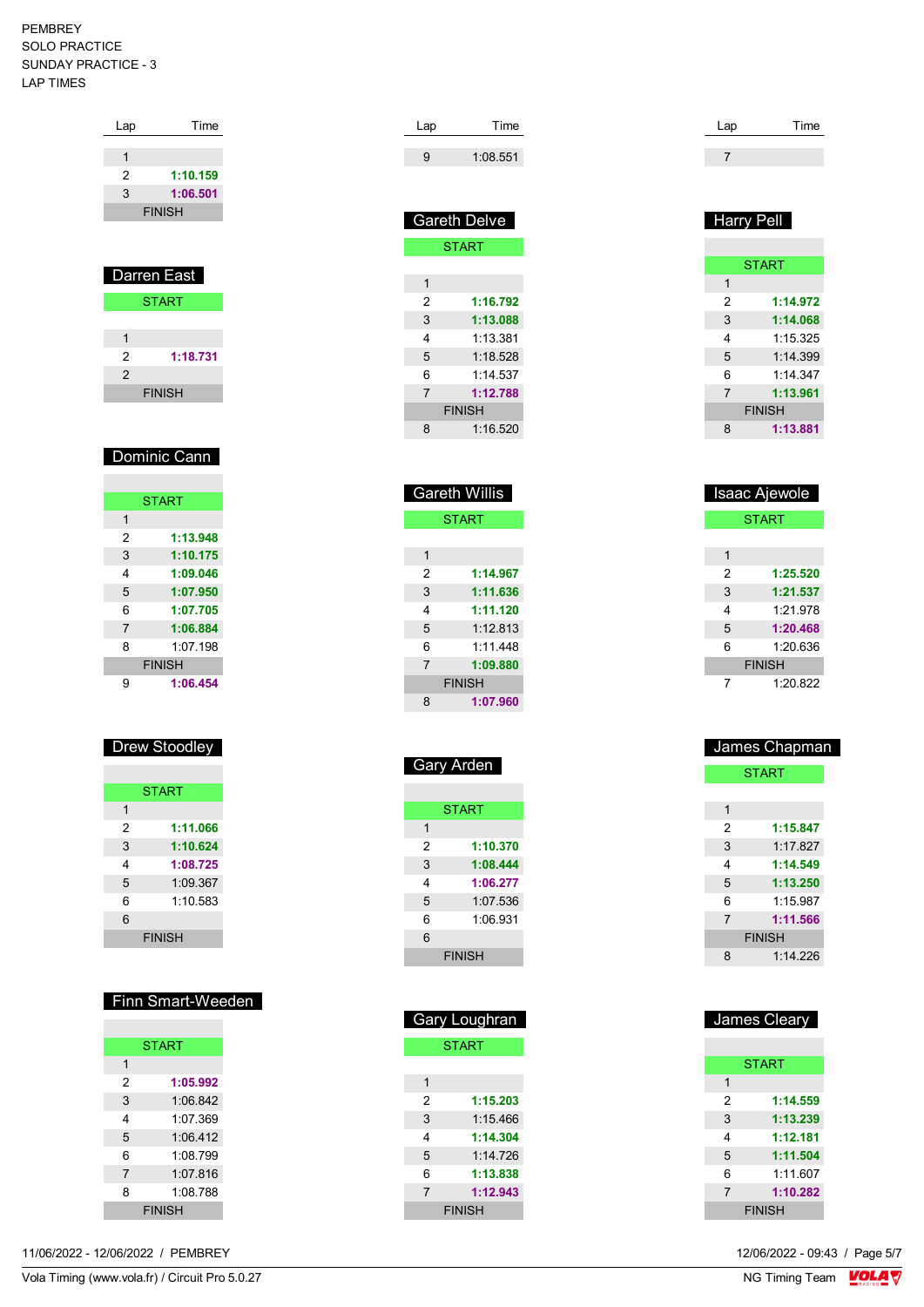| Lap | Time          |
|-----|---------------|
|     |               |
| 1   |               |
| 2   | 1:10.159      |
| 3   | 1:06.501      |
|     | <b>FINISH</b> |
|     |               |
|     |               |
|     |               |
|     | Darren East   |
|     | <b>START</b>  |

| 2             | 1:18.731      |
|---------------|---------------|
| $\mathcal{P}$ |               |
|               | <b>FINISH</b> |

### Dominic Cann

|                | <b>START</b>  |
|----------------|---------------|
| 1              |               |
| 2              | 1:13.948      |
| 3              | 1:10.175      |
| 4              | 1:09.046      |
| 5              | 1:07.950      |
| 6              | 1:07.705      |
| $\overline{7}$ | 1:06.884      |
| 8              | $1.07$ 198    |
|                | <b>FINISH</b> |
| g              | 1:06.454      |

### Drew Stoodley

|   | <b>START</b>  |
|---|---------------|
| 1 |               |
| 2 | 1:11.066      |
| 3 | 1:10.624      |
| 4 | 1:08.725      |
| 5 | 1:09.367      |
| 6 | 1:10.583      |
| 6 |               |
|   | <b>FINISH</b> |

# Finn Smart-Weeden

| <b>START</b> |               |
|--------------|---------------|
| 1            |               |
| 2            | 1:05.992      |
| 3            | 1:06.842      |
| 4            | 1:07.369      |
| 5            | 1.06412       |
| 6            | 1:08.799      |
| 7            | 1.07816       |
| 8            | 1:08.788      |
|              | <b>FINISH</b> |

11/06/2022 - 12/06/2022 / PEMBREY

| Lap | Time     |
|-----|----------|
| g   | 1:08.551 |

|   | <b>Gareth Delve</b> |
|---|---------------------|
|   | <b>START</b>        |
|   |                     |
| 1 |                     |
| 2 | 1:16.792            |
| 3 | 1:13.088            |
| 4 | 1.13.381            |
| 5 | 1.18528             |
| 6 | 1.14537             |
| 7 | 1:12.788            |
|   | <b>FINISH</b>       |
| 8 | 1:16.520            |
|   |                     |

|                | <b>Gareth Willis</b> |
|----------------|----------------------|
|                | <b>START</b>         |
|                |                      |
| 1              |                      |
| 2              | 1:14.967             |
| 3              | 1:11.636             |
| 4              | 1:11.120             |
| 5              | 1.12813              |
| 6              | 1.11448              |
| $\overline{7}$ | 1:09.880             |
|                | <b>FINISH</b>        |
| 8              | 1:07.960             |

|   | <b>START</b>  |
|---|---------------|
| 1 |               |
| 2 | 1:10.370      |
| 3 | 1:08.444      |
| 4 | 1:06.277      |
| 5 | 1:07.536      |
| 6 | 1.06931       |
| 6 |               |
|   | <b>FINISH</b> |

Gary Arden

|   | <b>Gary Loughran</b> |
|---|----------------------|
|   | <b>START</b>         |
|   |                      |
| 1 |                      |
| 2 | 1:15.203             |
| 3 | 1:15.466             |
| 4 | 1:14.304             |
| 5 | 1.14726              |
| 6 | 1:13.838             |
| 7 | 1:12.943             |
|   | <b>FINISH</b>        |

| Lap | Time |
|-----|------|
|     |      |
|     |      |

| Harry Pell     |               |
|----------------|---------------|
|                |               |
|                | <b>START</b>  |
| 1              |               |
| 2              | 1:14.972      |
| 3              | 1:14.068      |
| 4              | 1.15.325      |
| 5              | 1.14.399      |
| 6              | 1.14.347      |
| $\overline{7}$ | 1:13.961      |
|                | <b>FINISH</b> |
| 8              | 1:13.881      |

|   | <b>Isaac Ajewole</b> |
|---|----------------------|
|   | <b>START</b>         |
|   |                      |
| 1 |                      |
| 2 | 1:25.520             |
| 3 | 1:21.537             |
| 4 | 1.21978              |
| 5 | 1:20.468             |
| 6 | 1:20.636             |
|   | <b>FINISH</b>        |
| 7 | 1:20.822             |

|   | James Chapman |
|---|---------------|
|   | <b>START</b>  |
|   |               |
| 1 |               |
| 2 | 1:15.847      |
| 3 | 1.17827       |
| 4 | 1:14.549      |
| 5 | 1:13.250      |
| 6 | 1.15987       |
| 7 | 1:11.566      |
|   | <b>FINISH</b> |
| 8 | 1.14226       |
|   |               |

|                | James Cleary  |
|----------------|---------------|
|                |               |
|                | <b>START</b>  |
| 1              |               |
| 2              | 1:14.559      |
| 3              | 1:13.239      |
| 4              | 1:12.181      |
| 5              | 1:11.504      |
| 6              | 1:11.607      |
| $\overline{7}$ | 1:10.282      |
|                | <b>FINISH</b> |

12/06/2022 - 09:43 / Page 5/7<br>NG Timing Team  $\sqrt{\text{OLA}}$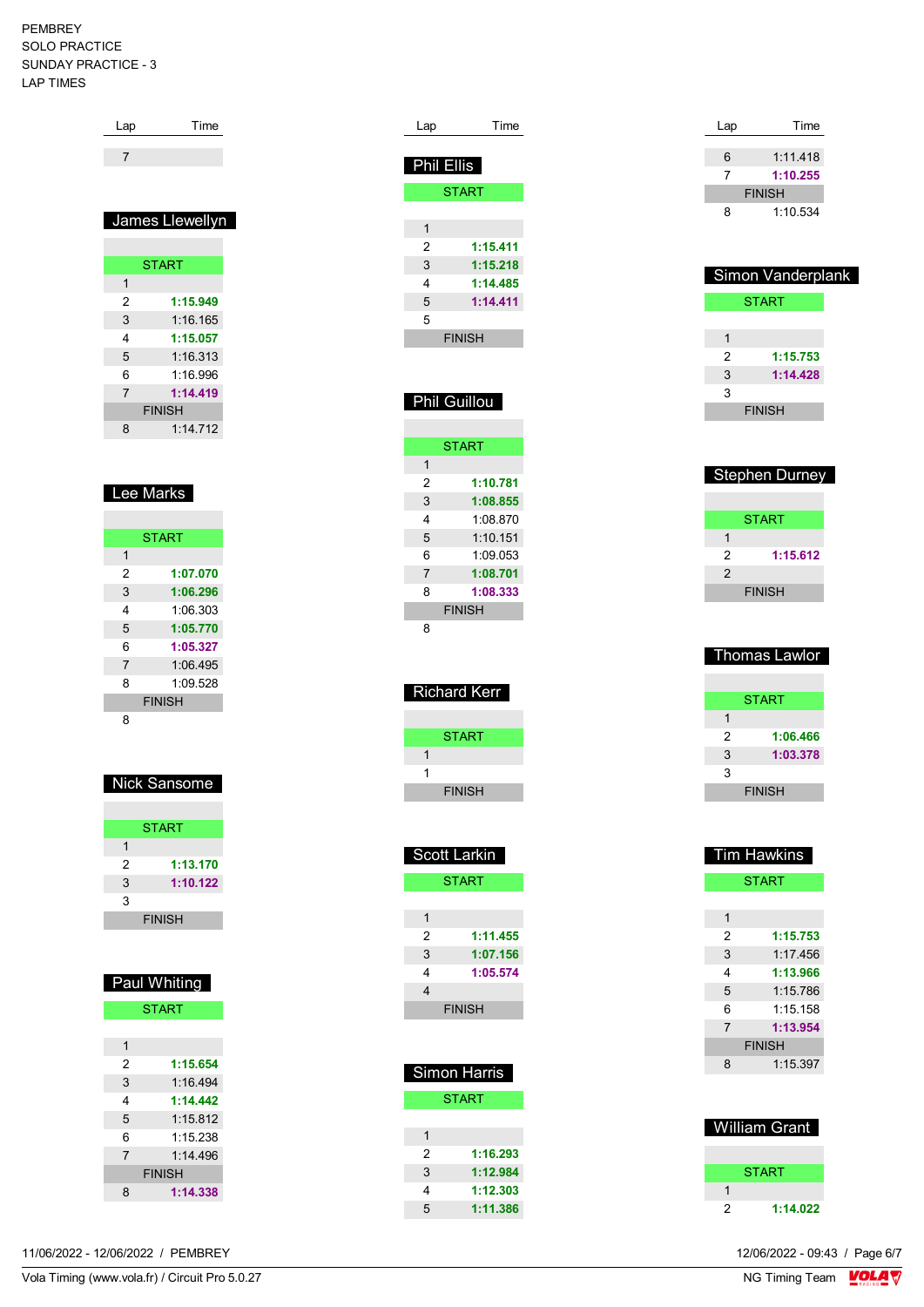| Lap | Time            |
|-----|-----------------|
|     |                 |
|     |                 |
|     |                 |
|     | James Llewellyn |
|     |                 |
|     |                 |

|                | <b>START</b> |
|----------------|--------------|
| 1              |              |
| 2              | 1:15.949     |
| 3              | 1:16.165     |
| 4              | 1:15.057     |
| 5              | 1:16.313     |
| 6              | 1:16.996     |
| $\overline{7}$ | 1:14.419     |
| <b>FINISH</b>  |              |
| 8              | 1:14.712     |

# Lee Marks

|                | <b>START</b>  |
|----------------|---------------|
| 1              |               |
| 2              | 1:07.070      |
| 3              | 1:06.296      |
| 4              | 1.06303       |
| 5              | 1:05.770      |
| 6              | 1:05.327      |
| $\overline{7}$ | 1:06.495      |
| 8              | 1.09528       |
|                | <b>FINISH</b> |
| 8              |               |

### Nick Sansome

|   | <b>START</b>  |
|---|---------------|
|   |               |
| 2 | 1:13.170      |
| 3 | 1:10.122      |
| 3 |               |
|   | <b>FINISH</b> |

|   | Paul Whiting  |
|---|---------------|
|   | <b>START</b>  |
|   |               |
| 1 |               |
| 2 | 1:15.654      |
| 3 | 1.16494       |
| 4 | 1:14 442      |
| 5 | 1.15.812      |
| 6 | 1:15 238      |
| 7 | 1.14496       |
|   | <b>FINISH</b> |
| 8 | 1:14.338      |

| Lap               | Time                |
|-------------------|---------------------|
| <b>Phil Ellis</b> |                     |
|                   | <b>START</b>        |
|                   |                     |
| 1                 |                     |
| 2                 | 1:15.411            |
| 3                 | 1:15.218            |
| 4                 | 1:14.485            |
| 5                 | 1:14.411            |
| 5                 |                     |
|                   | <b>FINISH</b>       |
|                   |                     |
|                   |                     |
|                   | <b>Phil Guillou</b> |
|                   |                     |
|                   |                     |
|                   | START               |

| 1                          |  |
|----------------------------|--|
| 2<br>1:10.781              |  |
| 1:08.855<br>3              |  |
| 1:08.870<br>4              |  |
| 1:10.151<br>5              |  |
| 6<br>1.09053               |  |
| $\overline{7}$<br>1:08.701 |  |
| 8<br>1:08.333              |  |
| <b>FINISH</b>              |  |
|                            |  |

| Richard Kerr  |
|---------------|
|               |
| START         |
| 1             |
| 1             |
| <b>FINISH</b> |

|   | Scott Larkin  |
|---|---------------|
|   | <b>START</b>  |
|   |               |
| 1 |               |
| 2 | 1:11.455      |
| 3 | 1:07.156      |
| 4 | 1:05.574      |
| 4 |               |
|   | <b>FINISH</b> |
|   |               |

|   | Simon Harris |
|---|--------------|
|   | <b>START</b> |
|   |              |
| 1 |              |
| 2 | 1:16.293     |
| 3 | 1:12.984     |
| 4 | 1:12.303     |
| 5 | 1:11.386     |

| Lap | Time          |  |
|-----|---------------|--|
|     |               |  |
| 6   | 1:11.418      |  |
|     | 1:10.255      |  |
|     | <b>FINISH</b> |  |
| 8   | 1:10.534      |  |
|     |               |  |

|   | Simon Vanderplank |
|---|-------------------|
|   | <b>START</b>      |
|   |                   |
| 1 |                   |
| 2 | 1:15.753          |
| 3 | 1:14.428          |
| 3 |                   |
|   | <b>FINISH</b>     |
|   |                   |

| <b>Stephen Durney</b> |               |
|-----------------------|---------------|
|                       |               |
|                       | START         |
|                       |               |
| 2                     | 1:15.612      |
| 2                     |               |
|                       | <b>FINISH</b> |

| Thomas Lawlor |
|---------------|
|               |
| START         |
| 1             |
| 2<br>1:06.466 |
| 3<br>1:03.378 |
| 3             |
| <b>FINISH</b> |

| Tim Hawkins   |          |  |
|---------------|----------|--|
| <b>START</b>  |          |  |
|               |          |  |
| 1             |          |  |
| 2             | 1:15.753 |  |
| 3             | 1:17.456 |  |
| 4             | 1:13.966 |  |
| 5             | 1:15.786 |  |
| 6             | 1:15 158 |  |
| 7             | 1:13.954 |  |
| <b>FINISH</b> |          |  |
| 8             | 1.15.397 |  |
|               |          |  |
|               |          |  |

| <b>William Grant</b> |          |  |
|----------------------|----------|--|
|                      |          |  |
|                      | START    |  |
|                      |          |  |
| 2                    | 1:14.022 |  |
|                      |          |  |

11/06/2022 - 12/06/2022 / PEMBREY

Vola Timing (www.vola.fr) / Circuit Pro 5.0.27